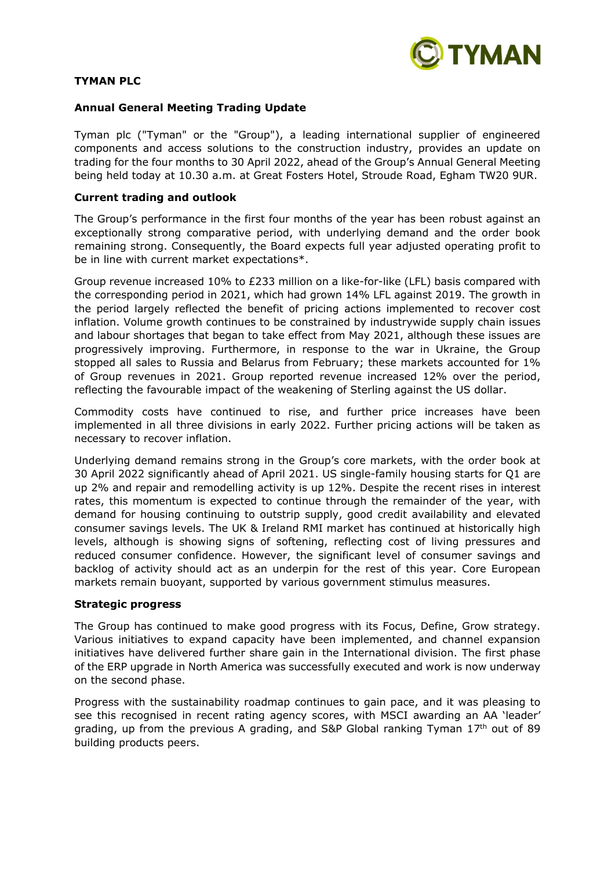

# **TYMAN PLC**

## **Annual General Meeting Trading Update**

Tyman plc ("Tyman" or the "Group"), a leading international supplier of engineered components and access solutions to the construction industry, provides an update on trading for the four months to 30 April 2022, ahead of the Group's Annual General Meeting being held today at 10.30 a.m. at Great Fosters Hotel, Stroude Road, Egham TW20 9UR.

## **Current trading and outlook**

The Group's performance in the first four months of the year has been robust against an exceptionally strong comparative period, with underlying demand and the order book remaining strong. Consequently, the Board expects full year adjusted operating profit to be in line with current market expectations\*.

Group revenue increased 10% to £233 million on a like-for-like (LFL) basis compared with the corresponding period in 2021, which had grown 14% LFL against 2019. The growth in the period largely reflected the benefit of pricing actions implemented to recover cost inflation. Volume growth continues to be constrained by industrywide supply chain issues and labour shortages that began to take effect from May 2021, although these issues are progressively improving. Furthermore, in response to the war in Ukraine, the Group stopped all sales to Russia and Belarus from February; these markets accounted for 1% of Group revenues in 2021. Group reported revenue increased 12% over the period, reflecting the favourable impact of the weakening of Sterling against the US dollar.

Commodity costs have continued to rise, and further price increases have been implemented in all three divisions in early 2022. Further pricing actions will be taken as necessary to recover inflation.

Underlying demand remains strong in the Group's core markets, with the order book at 30 April 2022 significantly ahead of April 2021. US single-family housing starts for Q1 are up 2% and repair and remodelling activity is up 12%. Despite the recent rises in interest rates, this momentum is expected to continue through the remainder of the year, with demand for housing continuing to outstrip supply, good credit availability and elevated consumer savings levels. The UK & Ireland RMI market has continued at historically high levels, although is showing signs of softening, reflecting cost of living pressures and reduced consumer confidence. However, the significant level of consumer savings and backlog of activity should act as an underpin for the rest of this year. Core European markets remain buoyant, supported by various government stimulus measures.

## **Strategic progress**

The Group has continued to make good progress with its Focus, Define, Grow strategy. Various initiatives to expand capacity have been implemented, and channel expansion initiatives have delivered further share gain in the International division. The first phase of the ERP upgrade in North America was successfully executed and work is now underway on the second phase.

Progress with the sustainability roadmap continues to gain pace, and it was pleasing to see this recognised in recent rating agency scores, with MSCI awarding an AA 'leader' grading, up from the previous A grading, and S&P Global ranking Tyman 17<sup>th</sup> out of 89 building products peers.